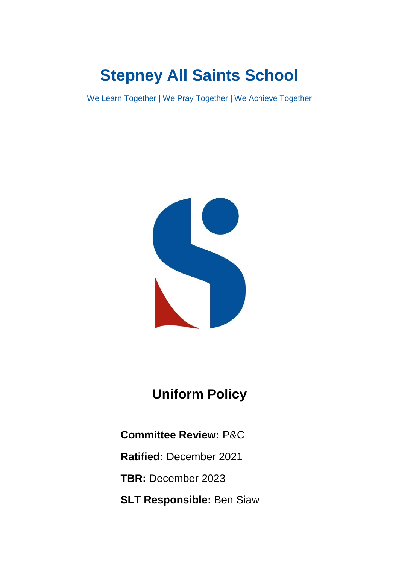# **Stepney All Saints School**

We Learn Together | We Pray Together | We Achieve Together



# **Uniform Policy**

**Committee Review:** P&C

**Ratified:** December 2021

**TBR:** December 2023

**SLT Responsible:** Ben Siaw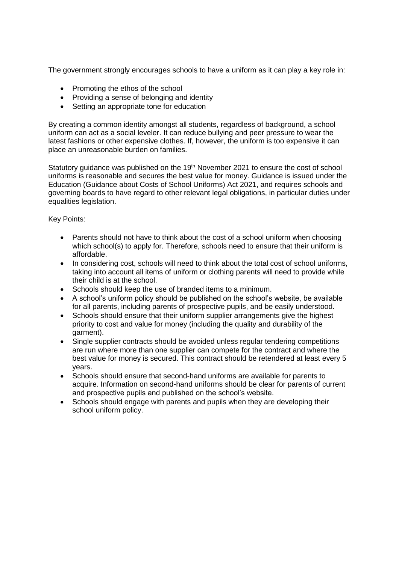The government strongly encourages schools to have a uniform as it can play a key role in:

- Promoting the ethos of the school
- Providing a sense of belonging and identity
- Setting an appropriate tone for education

By creating a common identity amongst all students, regardless of background, a school uniform can act as a social leveler. It can reduce bullying and peer pressure to wear the latest fashions or other expensive clothes. If, however, the uniform is too expensive it can place an unreasonable burden on families.

Statutory guidance was published on the 19<sup>th</sup> November 2021 to ensure the cost of school uniforms is reasonable and secures the best value for money. Guidance is issued under the Education (Guidance about Costs of School Uniforms) Act 2021, and requires schools and governing boards to have regard to other relevant legal obligations, in particular duties under equalities legislation.

Key Points:

- Parents should not have to think about the cost of a school uniform when choosing which school(s) to apply for. Therefore, schools need to ensure that their uniform is affordable.
- In considering cost, schools will need to think about the total cost of school uniforms, taking into account all items of uniform or clothing parents will need to provide while their child is at the school.
- Schools should keep the use of branded items to a minimum.
- A school's uniform policy should be published on the school's website, be available for all parents, including parents of prospective pupils, and be easily understood.
- Schools should ensure that their uniform supplier arrangements give the highest priority to cost and value for money (including the quality and durability of the garment).
- Single supplier contracts should be avoided unless regular tendering competitions are run where more than one supplier can compete for the contract and where the best value for money is secured. This contract should be retendered at least every 5 years.
- Schools should ensure that second-hand uniforms are available for parents to acquire. Information on second-hand uniforms should be clear for parents of current and prospective pupils and published on the school's website.
- Schools should engage with parents and pupils when they are developing their school uniform policy.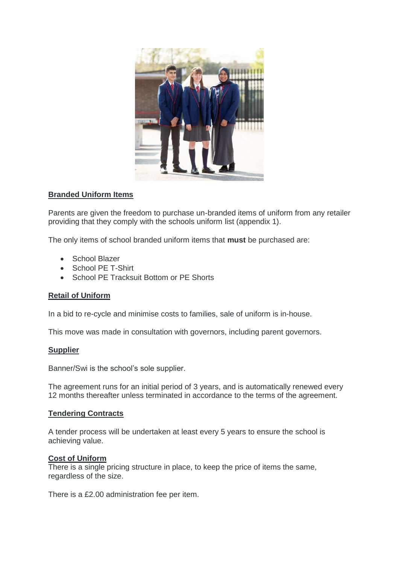

#### **Branded Uniform Items**

Parents are given the freedom to purchase un-branded items of uniform from any retailer providing that they comply with the schools uniform list (appendix 1).

The only items of school branded uniform items that **must** be purchased are:

- School Blazer
- School PE T-Shirt
- School PE Tracksuit Bottom or PE Shorts

# **Retail of Uniform**

In a bid to re-cycle and minimise costs to families, sale of uniform is in-house.

This move was made in consultation with governors, including parent governors.

#### **Supplier**

Banner/Swi is the school's sole supplier.

The agreement runs for an initial period of 3 years, and is automatically renewed every 12 months thereafter unless terminated in accordance to the terms of the agreement.

#### **Tendering Contracts**

A tender process will be undertaken at least every 5 years to ensure the school is achieving value.

#### **Cost of Uniform**

There is a single pricing structure in place, to keep the price of items the same, regardless of the size.

There is a £2.00 administration fee per item.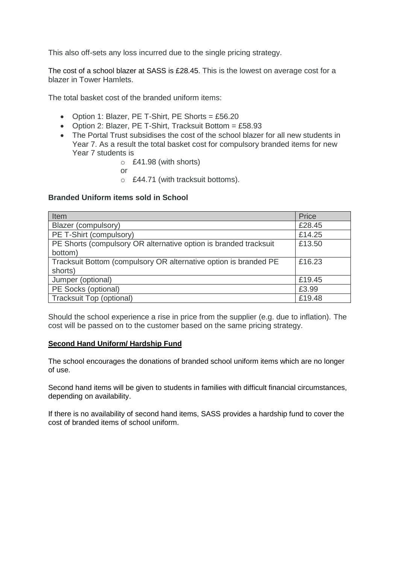This also off-sets any loss incurred due to the single pricing strategy.

The cost of a school blazer at SASS is £28.45. This is the lowest on average cost for a blazer in Tower Hamlets.

The total basket cost of the branded uniform items:

- Option 1: Blazer, PE T-Shirt, PE Shorts =  $£56.20$
- Option 2: Blazer, PE T-Shirt, Tracksuit Bottom =  $£58.93$
- The Portal Trust subsidises the cost of the school blazer for all new students in Year 7. As a result the total basket cost for compulsory branded items for new Year 7 students is
	- o £41.98 (with shorts)
	- or
	- o £44.71 (with tracksuit bottoms).

#### **Branded Uniform items sold in School**

| Item                                                             | Price  |
|------------------------------------------------------------------|--------|
| Blazer (compulsory)                                              | £28.45 |
| PE T-Shirt (compulsory)                                          | £14.25 |
| PE Shorts (compulsory OR alternative option is branded tracksuit | £13.50 |
| bottom)                                                          |        |
| Tracksuit Bottom (compulsory OR alternative option is branded PE | £16.23 |
| shorts)                                                          |        |
| Jumper (optional)                                                | £19.45 |
| PE Socks (optional)                                              | £3.99  |
| <b>Tracksuit Top (optional)</b>                                  | £19.48 |

Should the school experience a rise in price from the supplier (e.g. due to inflation). The cost will be passed on to the customer based on the same pricing strategy.

#### **Second Hand Uniform/ Hardship Fund**

The school encourages the donations of branded school uniform items which are no longer of use.

Second hand items will be given to students in families with difficult financial circumstances, depending on availability.

If there is no availability of second hand items, SASS provides a hardship fund to cover the cost of branded items of school uniform.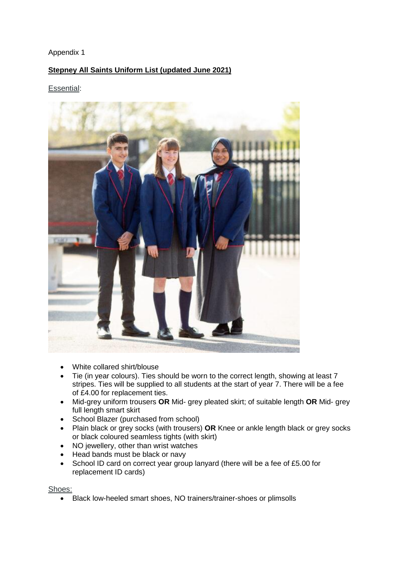# Appendix 1

# **Stepney All Saints Uniform List (updated June 2021)**

#### Essential:



- White collared shirt/blouse
- Tie (in year colours). Ties should be worn to the correct length, showing at least 7 stripes. Ties will be supplied to all students at the start of year 7. There will be a fee of £4.00 for replacement ties.
- Mid-grey uniform trousers **OR** Mid- grey pleated skirt; of suitable length **OR** Mid- grey full length smart skirt
- School Blazer (purchased from school)
- Plain black or grey socks (with trousers) **OR** Knee or ankle length black or grey socks or black coloured seamless tights (with skirt)
- NO jewellery, other than wrist watches
- Head bands must be black or navy
- School ID card on correct year group lanyard (there will be a fee of £5.00 for replacement ID cards)

Shoes:

Black low-heeled smart shoes, NO trainers/trainer-shoes or plimsolls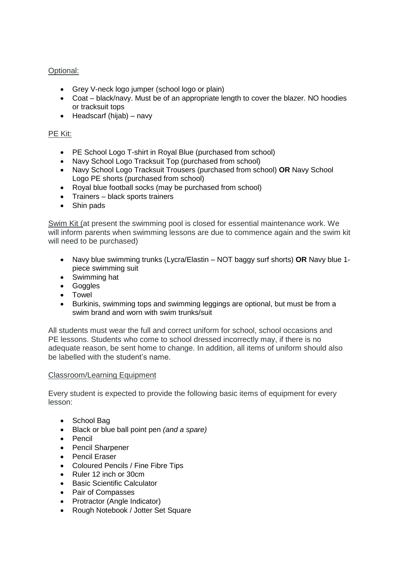# Optional:

- Grey V-neck logo jumper (school logo or plain)
- Coat black/navy. Must be of an appropriate length to cover the blazer. NO hoodies or tracksuit tops
- $\bullet$  Headscarf (hijab) navy

# PE Kit:

- PE School Logo T-shirt in Royal Blue (purchased from school)
- Navy School Logo Tracksuit Top (purchased from school)
- Navy School Logo Tracksuit Trousers (purchased from school) **OR** Navy School Logo PE shorts (purchased from school)
- Royal blue football socks (may be purchased from school)
- Trainers black sports trainers
- Shin pads

Swim Kit (at present the swimming pool is closed for essential maintenance work. We will inform parents when swimming lessons are due to commence again and the swim kit will need to be purchased)

- Navy blue swimming trunks (Lycra/Elastin NOT baggy surf shorts) **OR** Navy blue 1 piece swimming suit
- Swimming hat
- Goggles
- Towel
- Burkinis, swimming tops and swimming leggings are optional, but must be from a swim brand and worn with swim trunks/suit

All students must wear the full and correct uniform for school, school occasions and PE lessons. Students who come to school dressed incorrectly may, if there is no adequate reason, be sent home to change. In addition, all items of uniform should also be labelled with the student's name.

# Classroom/Learning Equipment

Every student is expected to provide the following basic items of equipment for every lesson:

- School Bag
- Black or blue ball point pen *(and a spare)*
- Pencil
- Pencil Sharpener
- Pencil Eraser
- Coloured Pencils / Fine Fibre Tips
- Ruler 12 inch or 30cm
- Basic Scientific Calculator
- Pair of Compasses
- Protractor (Angle Indicator)
- Rough Notebook / Jotter Set Square